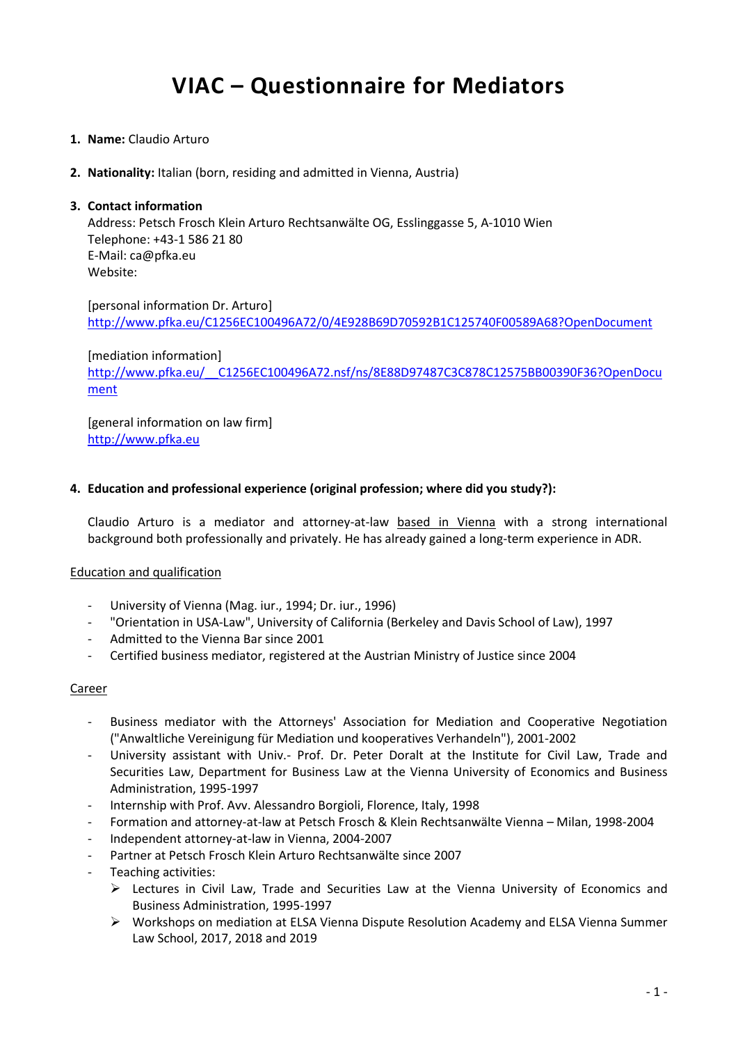# **VIAC – Questionnaire for Mediators**

- **1. Name:** Claudio Arturo
- **2. Nationality:** Italian (born, residing and admitted in Vienna, Austria)

#### **3. Contact information**

Address: Petsch Frosch Klein Arturo Rechtsanwälte OG, Esslinggasse 5, A-1010 Wien Telephone: +43-1 586 21 80 E-Mail: ca@pfka.eu Website:

[personal information Dr. Arturo] <http://www.pfka.eu/C1256EC100496A72/0/4E928B69D70592B1C125740F00589A68?OpenDocument>

[mediation information] [http://www.pfka.eu/\\_\\_C1256EC100496A72.nsf/ns/8E88D97487C3C878C12575BB00390F36?OpenDocu](http://www.pfka.eu/__C1256EC100496A72.nsf/ns/8E88D97487C3C878C12575BB00390F36?OpenDocument) [ment](http://www.pfka.eu/__C1256EC100496A72.nsf/ns/8E88D97487C3C878C12575BB00390F36?OpenDocument)

[general information on law firm] [http://www.pfka.eu](http://www.pfka.eu/)

#### **4. Education and professional experience (original profession; where did you study?):**

Claudio Arturo is a mediator and attorney-at-law based in Vienna with a strong international background both professionally and privately. He has already gained a long-term experience in ADR.

#### Education and qualification

- University of Vienna (Mag. iur., 1994; Dr. iur., 1996)
- "Orientation in USA-Law", University of California (Berkeley and Davis School of Law), 1997
- Admitted to the Vienna Bar since 2001
- Certified business mediator, registered at the Austrian Ministry of Justice since 2004

#### Career

- Business mediator with the Attorneys' Association for Mediation and Cooperative Negotiation ("Anwaltliche Vereinigung für Mediation und kooperatives Verhandeln"), 2001-2002
- University assistant with Univ.- Prof. Dr. Peter Doralt at the Institute for Civil Law, Trade and Securities Law, Department for Business Law at the Vienna University of Economics and Business Administration, 1995-1997
- Internship with Prof. Avv. Alessandro Borgioli, Florence, Italy, 1998
- Formation and attorney-at-law at Petsch Frosch & Klein Rechtsanwälte Vienna Milan, 1998-2004
- Independent attorney-at-law in Vienna, 2004-2007
- Partner at Petsch Frosch Klein Arturo Rechtsanwälte since 2007
- Teaching activities:
	- Lectures in Civil Law, Trade and Securities Law at the Vienna University of Economics and Business Administration, 1995-1997
	- Workshops on mediation at ELSA Vienna Dispute Resolution Academy and ELSA Vienna Summer Law School, 2017, 2018 and 2019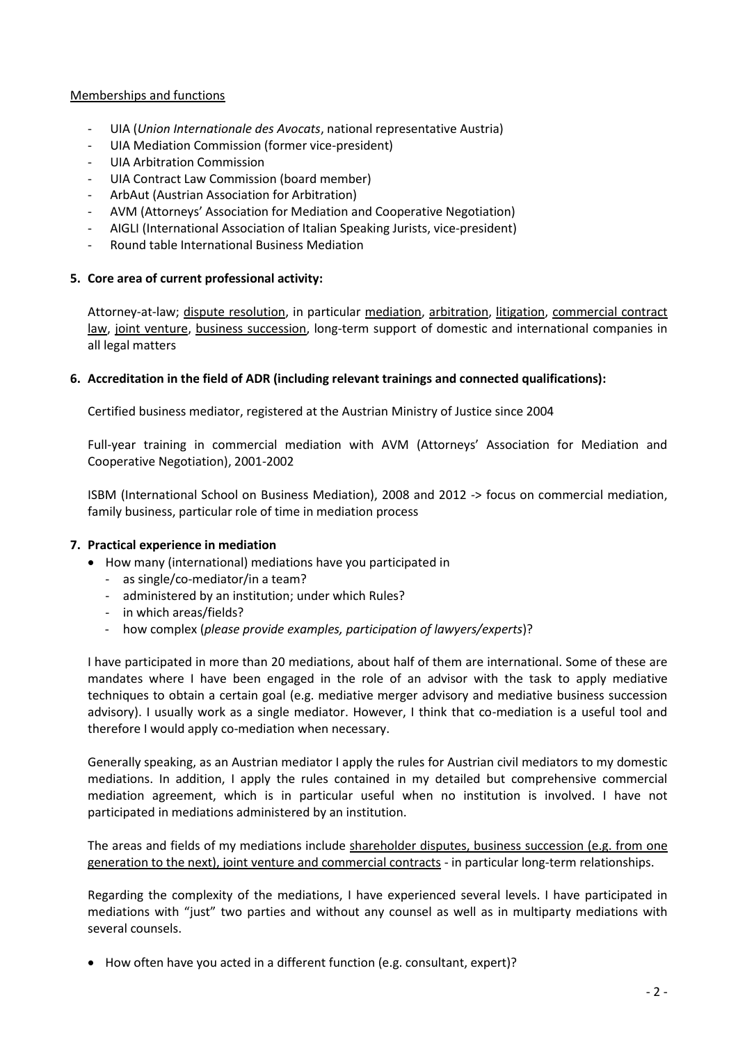# Memberships and functions

- UIA (*Union Internationale des Avocats*, national representative Austria)
- UIA Mediation Commission (former vice-president)
- UIA Arbitration Commission
- UIA Contract Law Commission (board member)
- ArbAut (Austrian Association for Arbitration)
- AVM (Attorneys' Association for Mediation and Cooperative Negotiation)
- AIGLI (International Association of Italian Speaking Jurists, vice-president)
- Round table International Business Mediation

# **5. Core area of current professional activity:**

Attorney-at-law; dispute resolution, in particular mediation, arbitration, litigation, commercial contract law, joint venture, business succession, long-term support of domestic and international companies in all legal matters

# **6. Accreditation in the field of ADR (including relevant trainings and connected qualifications):**

Certified business mediator, registered at the Austrian Ministry of Justice since 2004

Full-year training in commercial mediation with AVM (Attorneys' Association for Mediation and Cooperative Negotiation), 2001-2002

ISBM (International School on Business Mediation), 2008 and 2012 -> focus on commercial mediation, family business, particular role of time in mediation process

# **7. Practical experience in mediation**

- How many (international) mediations have you participated in
	- as single/co-mediator/in a team?
	- administered by an institution; under which Rules?
	- in which areas/fields?
	- how complex (*please provide examples, participation of lawyers/experts*)?

I have participated in more than 20 mediations, about half of them are international. Some of these are mandates where I have been engaged in the role of an advisor with the task to apply mediative techniques to obtain a certain goal (e.g. mediative merger advisory and mediative business succession advisory). I usually work as a single mediator. However, I think that co-mediation is a useful tool and therefore I would apply co-mediation when necessary.

Generally speaking, as an Austrian mediator I apply the rules for Austrian civil mediators to my domestic mediations. In addition, I apply the rules contained in my detailed but comprehensive commercial mediation agreement, which is in particular useful when no institution is involved. I have not participated in mediations administered by an institution.

The areas and fields of my mediations include shareholder disputes, business succession (e.g. from one generation to the next), joint venture and commercial contracts - in particular long-term relationships.

Regarding the complexity of the mediations, I have experienced several levels. I have participated in mediations with "just" two parties and without any counsel as well as in multiparty mediations with several counsels.

• How often have you acted in a different function (e.g. consultant, expert)?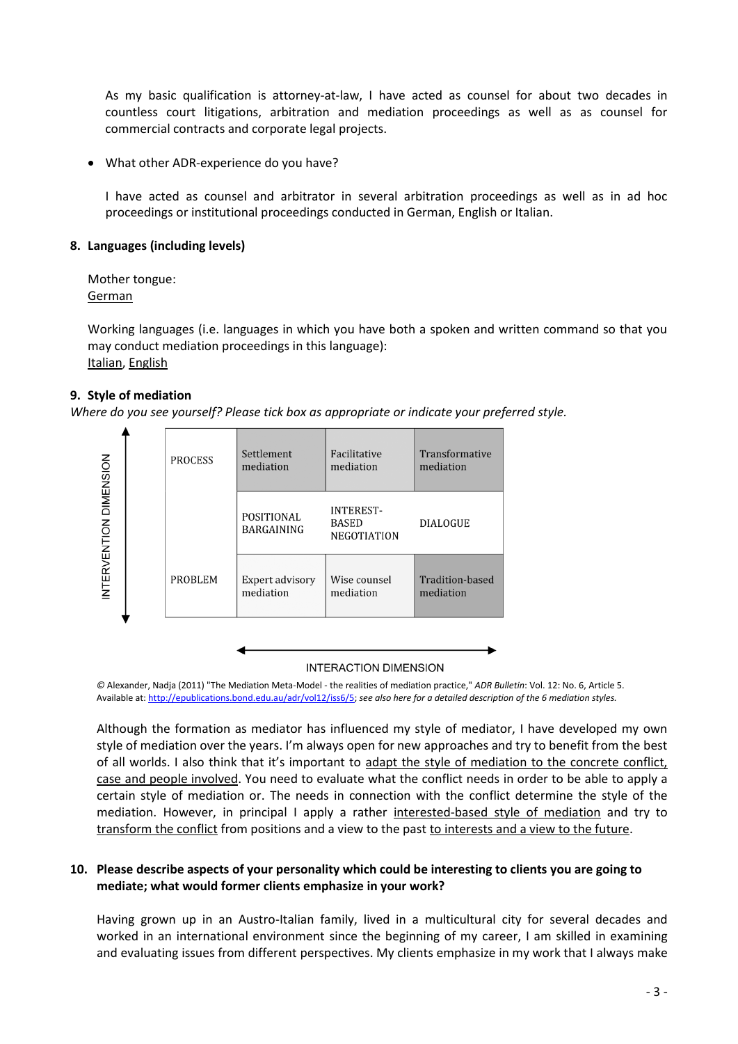As my basic qualification is attorney-at-law, I have acted as counsel for about two decades in countless court litigations, arbitration and mediation proceedings as well as as counsel for commercial contracts and corporate legal projects.

What other ADR-experience do you have?

I have acted as counsel and arbitrator in several arbitration proceedings as well as in ad hoc proceedings or institutional proceedings conducted in German, English or Italian.

# **8. Languages (including levels)**

Mother tongue: German

Working languages (i.e. languages in which you have both a spoken and written command so that you may conduct mediation proceedings in this language): Italian, English

# **9. Style of mediation**

*Where do you see yourself? Please tick box as appropriate or indicate your preferred style.*



# **INTERACTION DIMENSION**

*©* Alexander, Nadja (2011) "The Mediation Meta-Model - the realities of mediation practice," *ADR Bulletin*: Vol. 12: No. 6, Article 5. Available at: [http://epublications.bond.edu.au/adr/vol12/iss6/5;](http://epublications.bond.edu.au/adr/vol12/iss6/5) *see also here for a detailed description of the 6 mediation styles.*

Although the formation as mediator has influenced my style of mediator, I have developed my own style of mediation over the years. I'm always open for new approaches and try to benefit from the best of all worlds. I also think that it's important to adapt the style of mediation to the concrete conflict, case and people involved. You need to evaluate what the conflict needs in order to be able to apply a certain style of mediation or. The needs in connection with the conflict determine the style of the mediation. However, in principal I apply a rather interested-based style of mediation and try to transform the conflict from positions and a view to the past to interests and a view to the future.

# **10. Please describe aspects of your personality which could be interesting to clients you are going to mediate; what would former clients emphasize in your work?**

Having grown up in an Austro-Italian family, lived in a multicultural city for several decades and worked in an international environment since the beginning of my career, I am skilled in examining and evaluating issues from different perspectives. My clients emphasize in my work that I always make